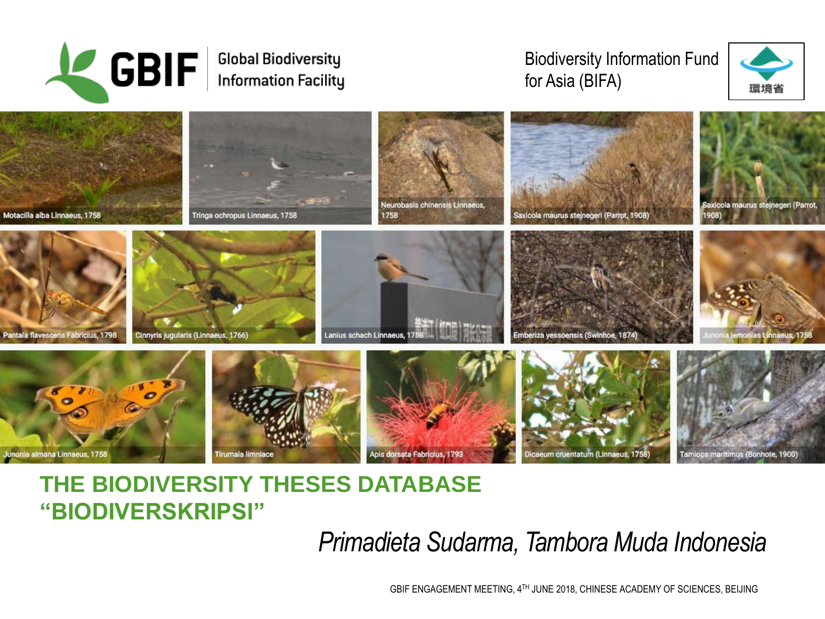

#### **Global Biodiversity** Information Facility

#### Biodiversity Information Fund for Asia (BIFA)





### **THE BIODIVERSITY THESES DATABASE "BIODIVERSKRIPSI"**

*Primadieta Sudarma, Tambora Muda Indonesia*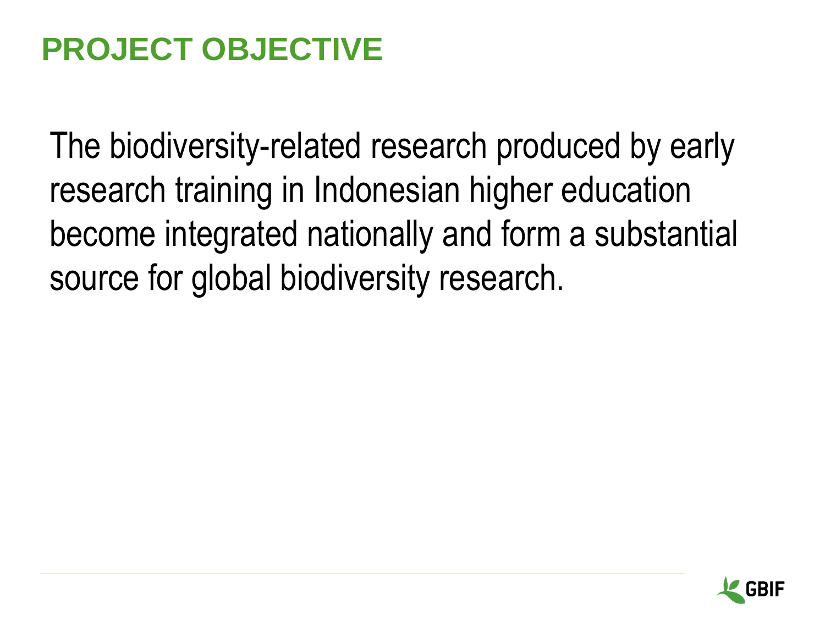# **PROJECT OBJECTIVE**

The biodiversity-related research produced by early research training in Indonesian higher education become integrated nationally and form a substantial source for global biodiversity research.

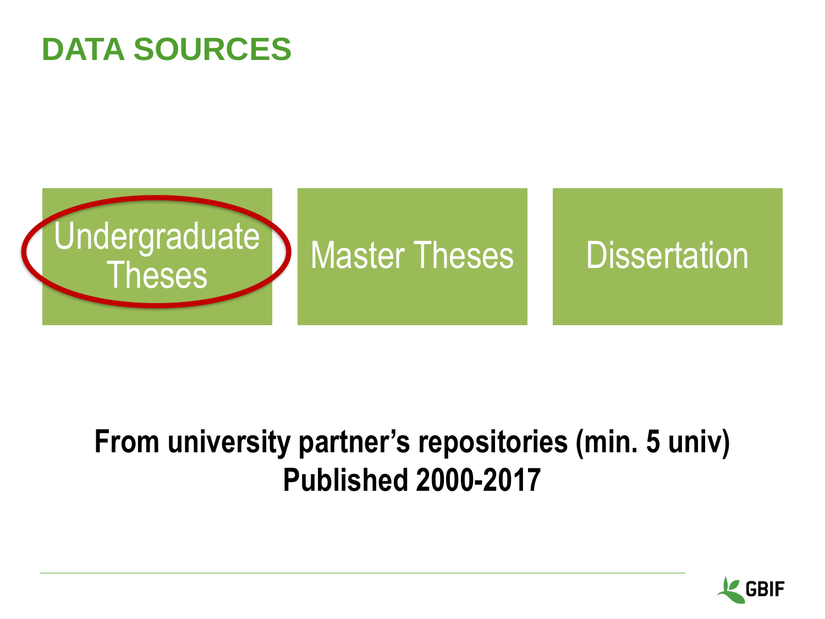## **DATA SOURCES**



### **From university partner's repositories (min. 5 univ) Published 2000-2017**

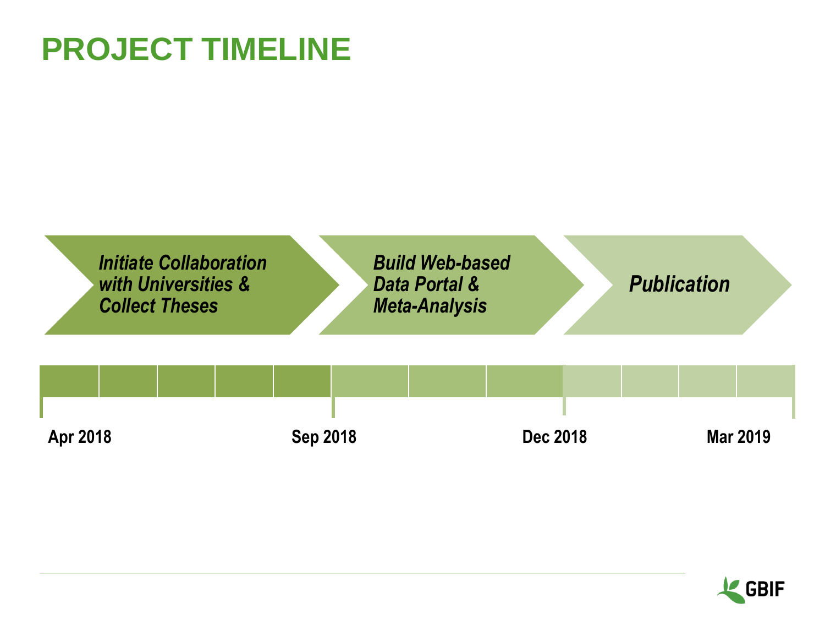# **PROJECT TIMELINE**



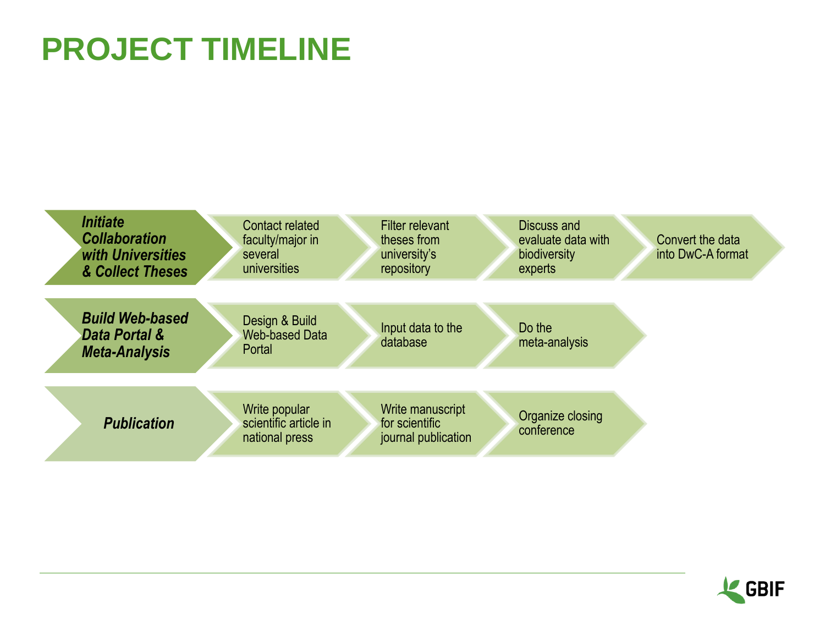# **PROJECT TIMELINE**



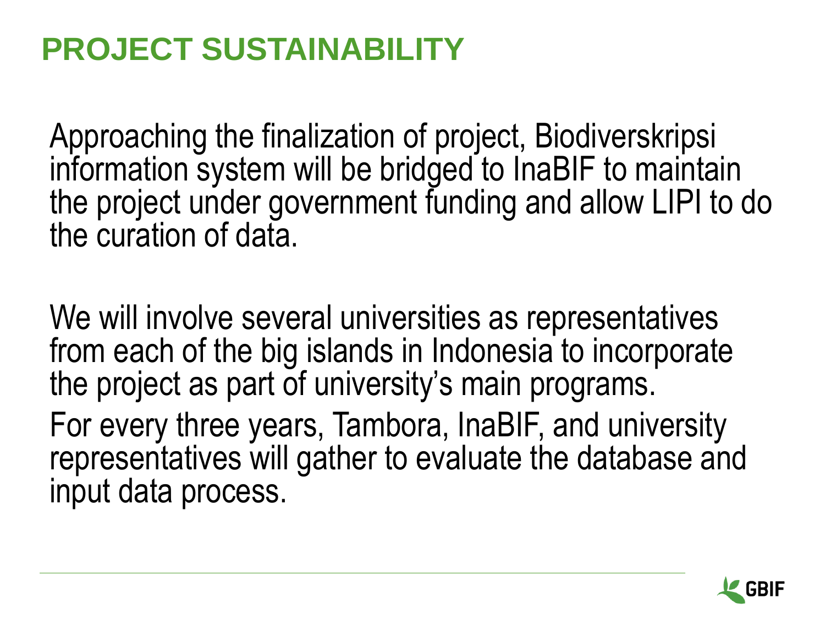# **PROJECT SUSTAINABILI**

Approaching the finalization of project, Biodiverskripsi information system will be bridged to InaBIF to maintain the project under government funding and allow LIPI to do the curation of data.

We will involve several universities as representatives from each of the big islands in Indonesia to incorporate the project as part of university's main programs. For every three years, Tambora, InaBIF, and university representatives will gather to evaluate the database and input data process.